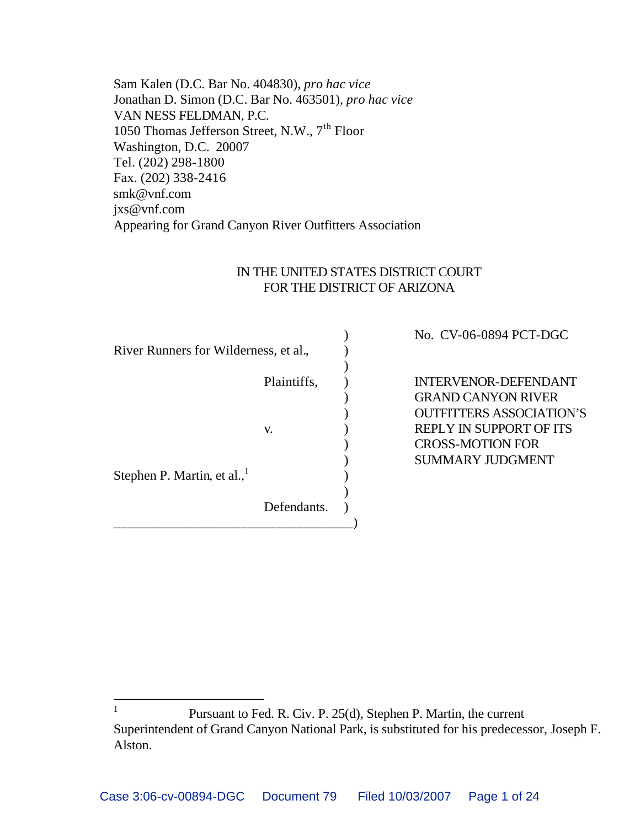Sam Kalen (D.C. Bar No. 404830), *pro hac vice* Jonathan D. Simon (D.C. Bar No. 463501), *pro hac vice* VAN NESS FELDMAN, P.C. 1050 Thomas Jefferson Street, N.W., 7<sup>th</sup> Floor Washington, D.C. 20007 Tel. (202) 298-1800 Fax. (202) 338-2416 smk@vnf.com jxs@vnf.com Appearing for Grand Canyon River Outfitters Association

#### IN THE UNITED STATES DISTRICT COURT FOR THE DISTRICT OF ARIZONA

|                                       |             | No. CV-06-0894 PCT-DGC         |
|---------------------------------------|-------------|--------------------------------|
| River Runners for Wilderness, et al., |             |                                |
|                                       |             |                                |
|                                       | Plaintiffs, | <b>INTERVENOR-DEFENDANT</b>    |
|                                       |             | <b>GRAND CANYON RIVER</b>      |
|                                       |             | OUTFITTERS ASSOCIATION'S       |
|                                       | V.          | <b>REPLY IN SUPPORT OF ITS</b> |
|                                       |             | <b>CROSS-MOTION FOR</b>        |
|                                       |             | <b>SUMMARY JUDGMENT</b>        |
| Stephen P. Martin, et al.,            |             |                                |
|                                       |             |                                |
|                                       | Defendants. |                                |
|                                       |             |                                |

 $\overline{a}$ 

<sup>1</sup> Pursuant to Fed. R. Civ. P. 25(d), Stephen P. Martin, the current Superintendent of Grand Canyon National Park, is substituted for his predecessor, Joseph F. Alston.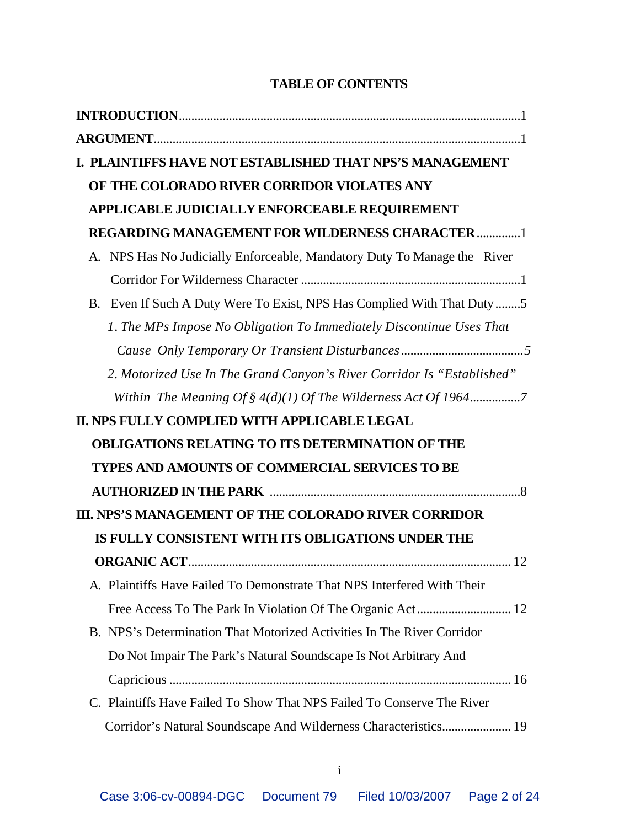# **TABLE OF CONTENTS**

| I. PLAINTIFFS HAVE NOT ESTABLISHED THAT NPS'S MANAGEMENT                 |
|--------------------------------------------------------------------------|
| OF THE COLORADO RIVER CORRIDOR VIOLATES ANY                              |
| APPLICABLE JUDICIALLY ENFORCEABLE REQUIREMENT                            |
| <b>REGARDING MANAGEMENT FOR WILDERNESS CHARACTER1</b>                    |
| A. NPS Has No Judicially Enforceable, Mandatory Duty To Manage the River |
|                                                                          |
| B. Even If Such A Duty Were To Exist, NPS Has Complied With That Duty 5  |
| 1. The MPs Impose No Obligation To Immediately Discontinue Uses That     |
|                                                                          |
| 2. Motorized Use In The Grand Canyon's River Corridor Is "Established"   |
|                                                                          |
| II. NPS FULLY COMPLIED WITH APPLICABLE LEGAL                             |
| <b>OBLIGATIONS RELATING TO ITS DETERMINATION OF THE</b>                  |
| <b>TYPES AND AMOUNTS OF COMMERCIAL SERVICES TO BE</b>                    |
|                                                                          |
| III. NPS'S MANAGEMENT OF THE COLORADO RIVER CORRIDOR                     |
| IS FULLY CONSISTENT WITH ITS OBLIGATIONS UNDER THE                       |
|                                                                          |
| A. Plaintiffs Have Failed To Demonstrate That NPS Interfered With Their  |
|                                                                          |
| B. NPS's Determination That Motorized Activities In The River Corridor   |
| Do Not Impair The Park's Natural Soundscape Is Not Arbitrary And         |
|                                                                          |
| C. Plaintiffs Have Failed To Show That NPS Failed To Conserve The River  |
| Corridor's Natural Soundscape And Wilderness Characteristics 19          |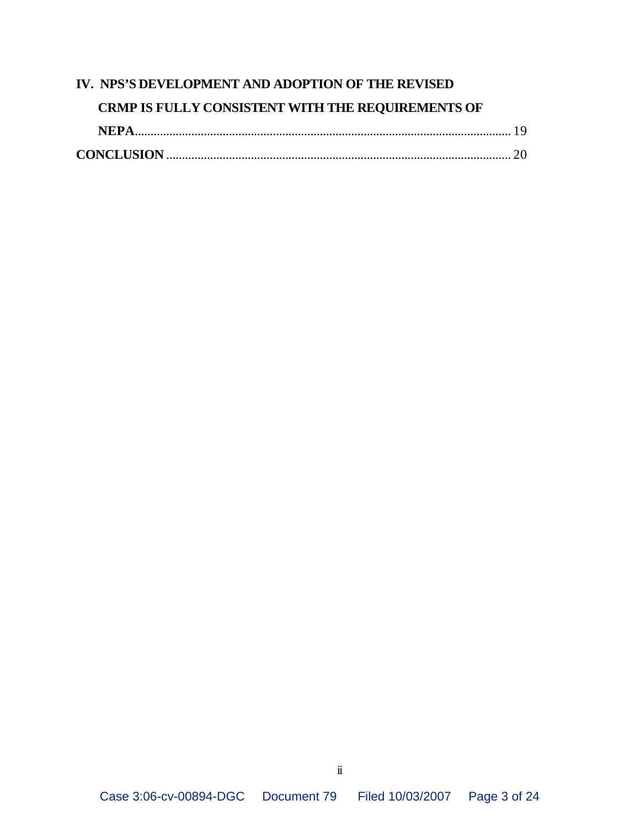# **IV. NPS'S DEVELOPMENT AND ADOPTION OF THE REVISED CRMP IS FULLY CONSISTENT WITH THE REQUIREMENTS OF NEPA**........................................................................................................................ 19 **CONCLUSION** .............................................................................................................. 20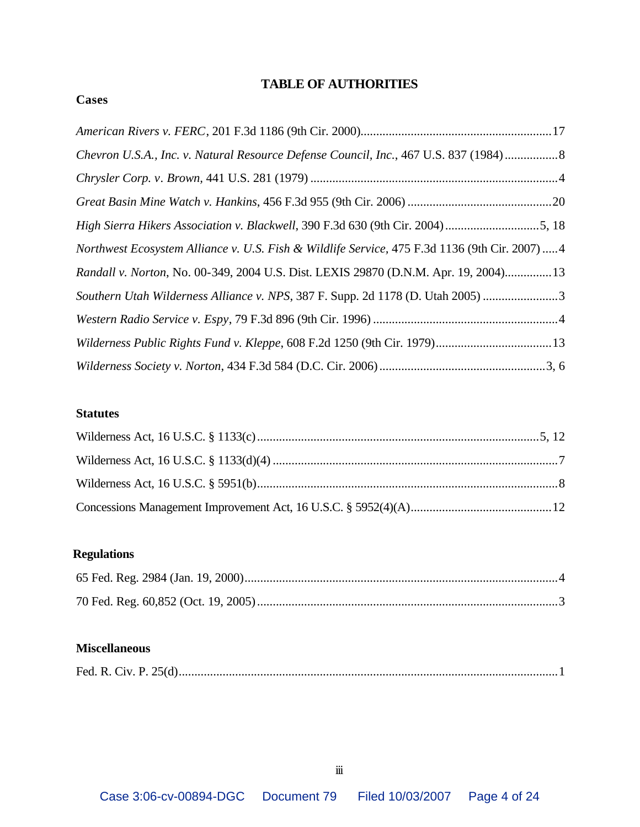## **TABLE OF AUTHORITIES**

#### **Cases**

| Chevron U.S.A., Inc. v. Natural Resource Defense Council, Inc., 467 U.S. 837 (1984) 8         |  |
|-----------------------------------------------------------------------------------------------|--|
|                                                                                               |  |
|                                                                                               |  |
| High Sierra Hikers Association v. Blackwell, 390 F.3d 630 (9th Cir. 2004) 5, 18               |  |
| Northwest Ecosystem Alliance v. U.S. Fish & Wildlife Service, 475 F.3d 1136 (9th Cir. 2007) 4 |  |
| Randall v. Norton, No. 00-349, 2004 U.S. Dist. LEXIS 29870 (D.N.M. Apr. 19, 2004) 13          |  |
| Southern Utah Wilderness Alliance v. NPS, 387 F. Supp. 2d 1178 (D. Utah 2005) 3               |  |
|                                                                                               |  |
|                                                                                               |  |
|                                                                                               |  |

#### **Statutes**

# **Regulations**

### **Miscellaneous**

|--|--|--|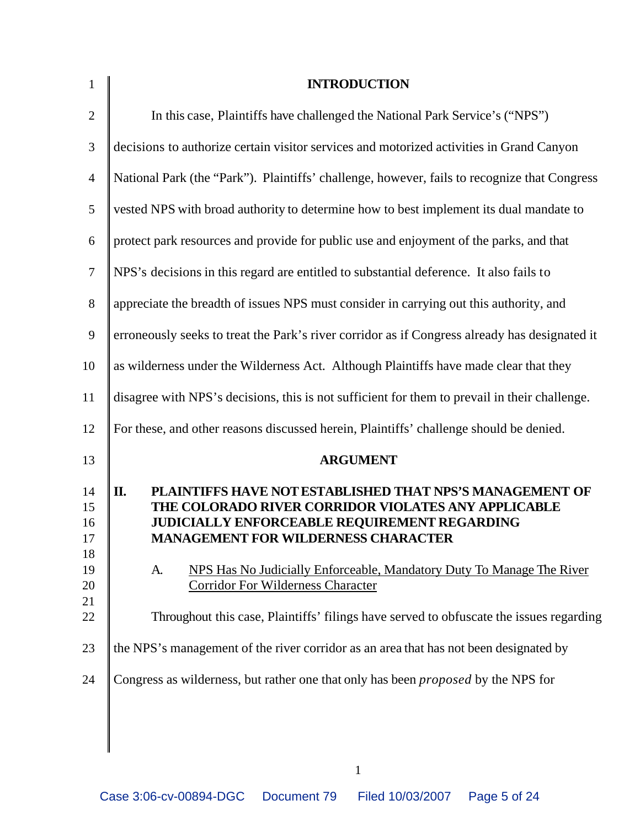| $\mathbf{1}$                                       | <b>INTRODUCTION</b>                                                                                                                                                                                                                                                                                                                                                                                                                       |
|----------------------------------------------------|-------------------------------------------------------------------------------------------------------------------------------------------------------------------------------------------------------------------------------------------------------------------------------------------------------------------------------------------------------------------------------------------------------------------------------------------|
| $\sqrt{2}$                                         | In this case, Plaintiffs have challenged the National Park Service's ("NPS")                                                                                                                                                                                                                                                                                                                                                              |
| $\mathfrak{Z}$                                     | decisions to authorize certain visitor services and motorized activities in Grand Canyon                                                                                                                                                                                                                                                                                                                                                  |
| $\overline{4}$                                     | National Park (the "Park"). Plaintiffs' challenge, however, fails to recognize that Congress                                                                                                                                                                                                                                                                                                                                              |
| 5                                                  | vested NPS with broad authority to determine how to best implement its dual mandate to                                                                                                                                                                                                                                                                                                                                                    |
| 6                                                  | protect park resources and provide for public use and enjoyment of the parks, and that                                                                                                                                                                                                                                                                                                                                                    |
| $\tau$                                             | NPS's decisions in this regard are entitled to substantial deference. It also fails to                                                                                                                                                                                                                                                                                                                                                    |
| $8\,$                                              | appreciate the breadth of issues NPS must consider in carrying out this authority, and                                                                                                                                                                                                                                                                                                                                                    |
| 9                                                  | erroneously seeks to treat the Park's river corridor as if Congress already has designated it                                                                                                                                                                                                                                                                                                                                             |
| 10                                                 | as wilderness under the Wilderness Act. Although Plaintiffs have made clear that they                                                                                                                                                                                                                                                                                                                                                     |
| 11                                                 | disagree with NPS's decisions, this is not sufficient for them to prevail in their challenge.                                                                                                                                                                                                                                                                                                                                             |
| 12                                                 | For these, and other reasons discussed herein, Plaintiffs' challenge should be denied.                                                                                                                                                                                                                                                                                                                                                    |
| 13                                                 | <b>ARGUMENT</b>                                                                                                                                                                                                                                                                                                                                                                                                                           |
| 14<br>15<br>16<br>17<br>18<br>19<br>20<br>21<br>22 | П.<br>PLAINTIFFS HAVE NOT ESTABLISHED THAT NPS'S MANAGEMENT OF<br>THE COLORADO RIVER CORRIDOR VIOLATES ANY APPLICABLE<br>JUDICIALLY ENFORCEABLE REQUIREMENT REGARDING<br><b>MANAGEMENT FOR WILDERNESS CHARACTER</b><br>NPS Has No Judicially Enforceable, Mandatory Duty To Manage The River<br>A.<br><b>Corridor For Wilderness Character</b><br>Throughout this case, Plaintiffs' filings have served to obfuscate the issues regarding |
| 23                                                 | the NPS's management of the river corridor as an area that has not been designated by                                                                                                                                                                                                                                                                                                                                                     |
| 24                                                 | Congress as wilderness, but rather one that only has been <i>proposed</i> by the NPS for                                                                                                                                                                                                                                                                                                                                                  |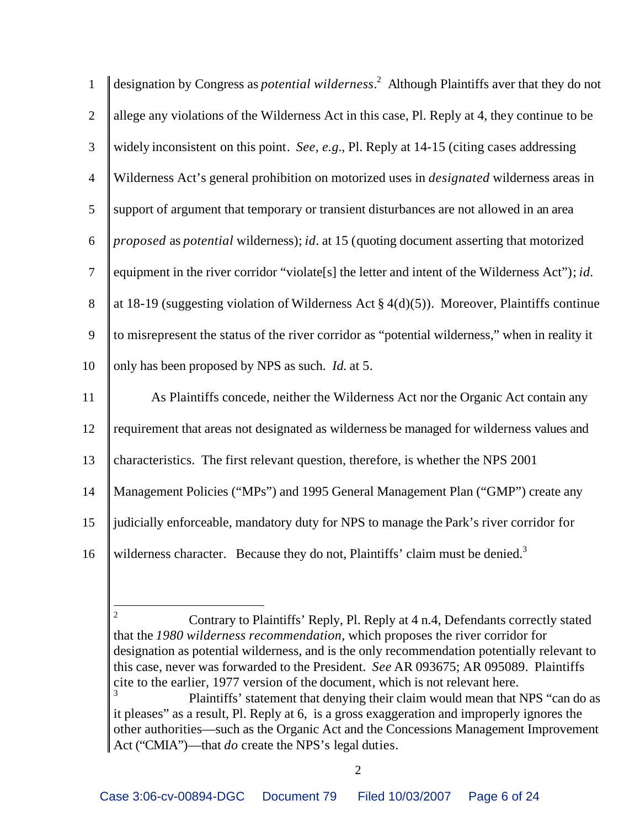| $\mathbf{1}$     | designation by Congress as <i>potential wilderness</i> . <sup>2</sup> Although Plaintiffs aver that they do not |
|------------------|-----------------------------------------------------------------------------------------------------------------|
| $\overline{2}$   | allege any violations of the Wilderness Act in this case, Pl. Reply at 4, they continue to be                   |
| 3                | widely inconsistent on this point. See, e.g., Pl. Reply at 14-15 (citing cases addressing                       |
| $\overline{4}$   | Wilderness Act's general prohibition on motorized uses in <i>designated</i> wilderness areas in                 |
| 5                | support of argument that temporary or transient disturbances are not allowed in an area                         |
| $\boldsymbol{6}$ | <i>proposed</i> as <i>potential</i> wilderness); <i>id.</i> at 15 (quoting document asserting that motorized    |
| $\overline{7}$   | equipment in the river corridor "violate[s] the letter and intent of the Wilderness Act"); id.                  |
| $8\,$            | at 18-19 (suggesting violation of Wilderness Act $\S 4(d)(5)$ ). Moreover, Plaintiffs continue                  |
| 9                | to misrepresent the status of the river corridor as "potential wilderness," when in reality it                  |
| 10               | only has been proposed by NPS as such. <i>Id.</i> at 5.                                                         |
| 11               | As Plaintiffs concede, neither the Wilderness Act nor the Organic Act contain any                               |
| 12               | requirement that areas not designated as wilderness be managed for wilderness values and                        |
| 13               | characteristics. The first relevant question, therefore, is whether the NPS 2001                                |
| 14               | Management Policies ("MPs") and 1995 General Management Plan ("GMP") create any                                 |
| 15               | judicially enforceable, mandatory duty for NPS to manage the Park's river corridor for                          |
| 16               | wilderness character. Because they do not, Plaintiffs' claim must be denied. <sup>3</sup>                       |

 $\overline{2}$  Contrary to Plaintiffs' Reply, Pl. Reply at 4 n.4, Defendants correctly stated that the *1980 wilderness recommendation*, which proposes the river corridor for designation as potential wilderness, and is the only recommendation potentially relevant to this case, never was forwarded to the President. *See* AR 093675; AR 095089. Plaintiffs cite to the earlier, 1977 version of the document, which is not relevant here.

 Plaintiffs' statement that denying their claim would mean that NPS "can do as it pleases" as a result, Pl. Reply at 6, is a gross exaggeration and improperly ignores the other authorities—such as the Organic Act and the Concessions Management Improvement Act ("CMIA")—that *do* create the NPS's legal duties.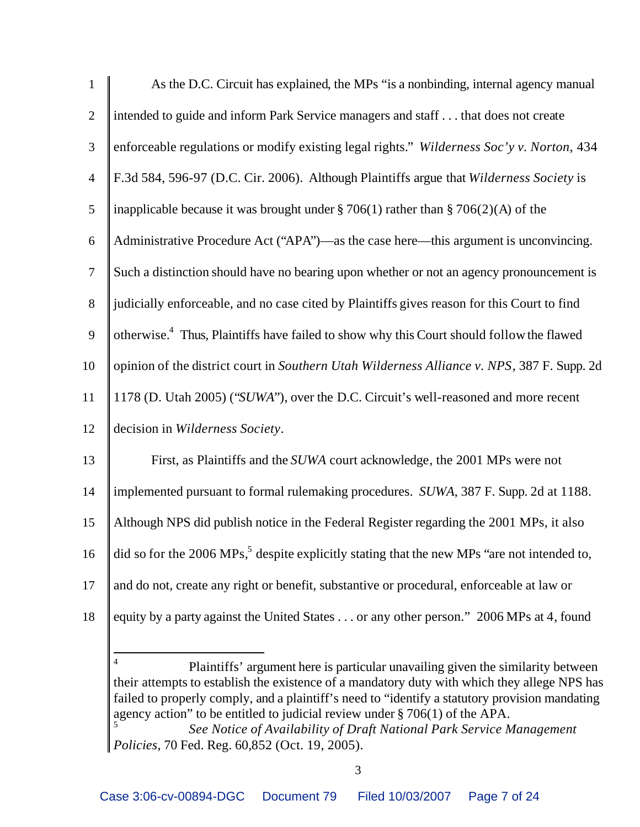| $\mathbf{1}$     | As the D.C. Circuit has explained, the MPs "is a nonbinding, internal agency manual                     |
|------------------|---------------------------------------------------------------------------------------------------------|
| $\overline{2}$   | intended to guide and inform Park Service managers and staff that does not create                       |
| 3                | enforceable regulations or modify existing legal rights." Wilderness Soc'y v. Norton, 434               |
| $\overline{4}$   | F.3d 584, 596-97 (D.C. Cir. 2006). Although Plaintiffs argue that Wilderness Society is                 |
| $\mathfrak{S}$   | inapplicable because it was brought under $\S 706(1)$ rather than $\S 706(2)(A)$ of the                 |
| $\boldsymbol{6}$ | Administrative Procedure Act ("APA")—as the case here—this argument is unconvincing.                    |
| $\tau$           | Such a distinction should have no bearing upon whether or not an agency pronouncement is                |
| $8\,$            | judicially enforceable, and no case cited by Plaintiffs gives reason for this Court to find             |
| 9                | otherwise. <sup>4</sup> Thus, Plaintiffs have failed to show why this Court should follow the flawed    |
| 10               | opinion of the district court in Southern Utah Wilderness Alliance v. NPS, 387 F. Supp. 2d              |
| 11               | 1178 (D. Utah 2005) ("SUWA"), over the D.C. Circuit's well-reasoned and more recent                     |
| 12               | decision in Wilderness Society.                                                                         |
| 13               | First, as Plaintiffs and the <i>SUWA</i> court acknowledge, the 2001 MPs were not                       |
| 14               | implemented pursuant to formal rulemaking procedures. SUWA, 387 F. Supp. 2d at 1188.                    |
| 15               | Although NPS did publish notice in the Federal Register regarding the 2001 MPs, it also                 |
| 16               | did so for the 2006 MPs, <sup>5</sup> despite explicitly stating that the new MPs "are not intended to, |
| 17               | and do not, create any right or benefit, substantive or procedural, enforceable at law or               |
| 18               | equity by a party against the United States or any other person." 2006 MPs at 4, found                  |
|                  |                                                                                                         |

 Plaintiffs' argument here is particular unavailing given the similarity between their attempts to establish the existence of a mandatory duty with which they allege NPS has failed to properly comply, and a plaintiff's need to "identify a statutory provision mandating agency action" to be entitled to judicial review under § 706(1) of the APA.

 $\overline{a}$ 

 *See Notice of Availability of Draft National Park Service Management Policies*, 70 Fed. Reg. 60,852 (Oct. 19, 2005).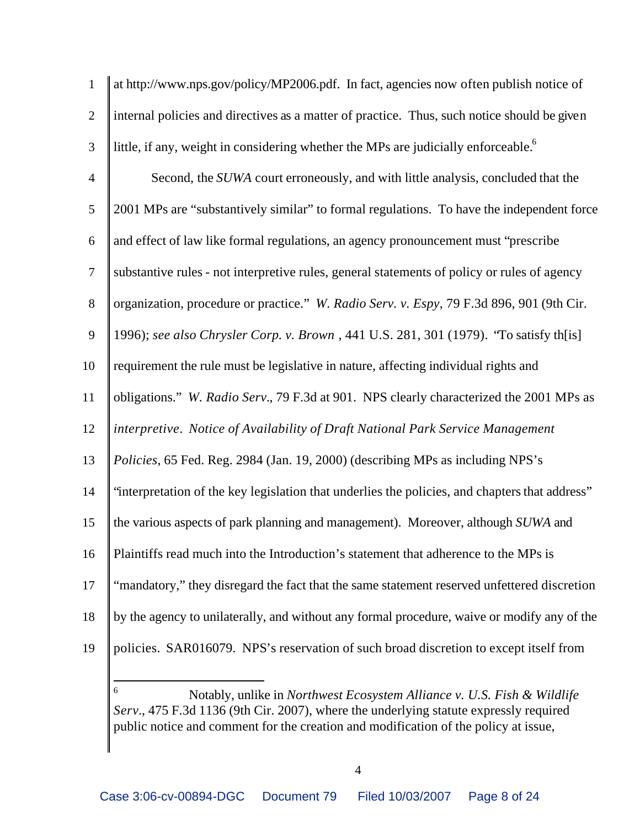| $\mathbf{1}$   | at http://www.nps.gov/policy/MP2006.pdf. In fact, agencies now often publish notice of         |
|----------------|------------------------------------------------------------------------------------------------|
| $\overline{2}$ | internal policies and directives as a matter of practice. Thus, such notice should be given    |
| 3              | little, if any, weight in considering whether the MPs are judicially enforceable. <sup>6</sup> |
| $\overline{4}$ | Second, the SUWA court erroneously, and with little analysis, concluded that the               |
| 5              | 2001 MPs are "substantively similar" to formal regulations. To have the independent force      |
| 6              | and effect of law like formal regulations, an agency pronouncement must "prescribe             |
| $\tau$         | substantive rules - not interpretive rules, general statements of policy or rules of agency    |
| $8\,$          | organization, procedure or practice." W. Radio Serv. v. Espy, 79 F.3d 896, 901 (9th Cir.       |
| 9              | 1996); see also Chrysler Corp. v. Brown, 441 U.S. 281, 301 (1979). 'To satisfy th[is]          |
| 10             | requirement the rule must be legislative in nature, affecting individual rights and            |
| 11             | obligations." W. Radio Serv., 79 F.3d at 901. NPS clearly characterized the 2001 MPs as        |
| 12             | interpretive. Notice of Availability of Draft National Park Service Management                 |
| 13             | Policies, 65 Fed. Reg. 2984 (Jan. 19, 2000) (describing MPs as including NPS's                 |
| 14             | "interpretation of the key legislation that underlies the policies, and chapters that address" |
| 15             | the various aspects of park planning and management). Moreover, although SUWA and              |
| 16             | Plaintiffs read much into the Introduction's statement that adherence to the MPs is            |
| 17             | "mandatory," they disregard the fact that the same statement reserved unfettered discretion    |
| 18             | by the agency to unilaterally, and without any formal procedure, waive or modify any of the    |
| 19             | policies. SAR016079. NPS's reservation of such broad discretion to except itself from          |
|                |                                                                                                |

 Notably, unlike in *Northwest Ecosystem Alliance v. U.S. Fish & Wildlife Serv.*, 475 F.3d 1136 (9th Cir. 2007), where the underlying statute expressly required public notice and comment for the creation and modification of the policy at issue,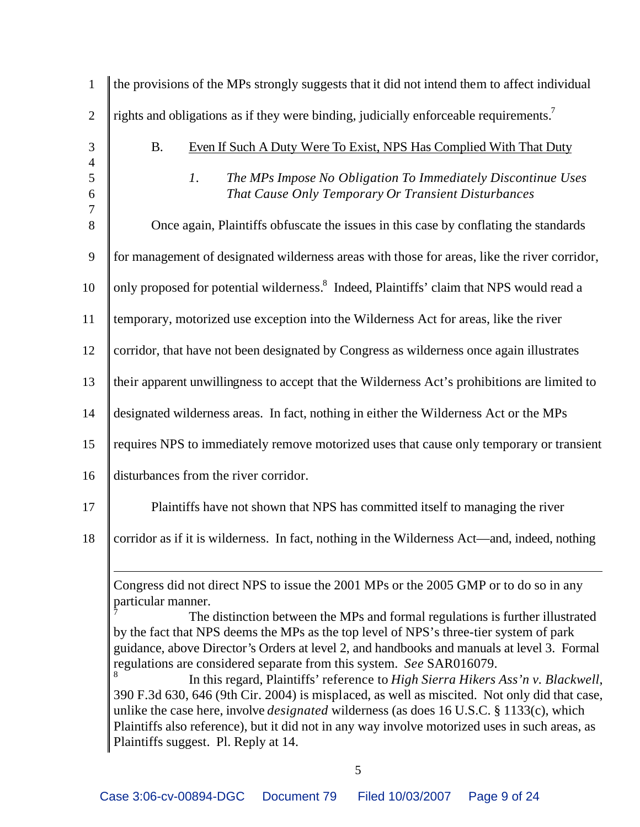| $\mathbf{1}$                     | the provisions of the MPs strongly suggests that it did not intend them to affect individual                                                                                                                                                                                                                                                                                                                                                                                                                                                                                                                                                                                                                                                     |
|----------------------------------|--------------------------------------------------------------------------------------------------------------------------------------------------------------------------------------------------------------------------------------------------------------------------------------------------------------------------------------------------------------------------------------------------------------------------------------------------------------------------------------------------------------------------------------------------------------------------------------------------------------------------------------------------------------------------------------------------------------------------------------------------|
| $\overline{2}$                   | rights and obligations as if they were binding, judicially enforceable requirements. <sup>7</sup>                                                                                                                                                                                                                                                                                                                                                                                                                                                                                                                                                                                                                                                |
| $\mathfrak{Z}$<br>$\overline{4}$ | <b>B.</b><br>Even If Such A Duty Were To Exist, NPS Has Complied With That Duty                                                                                                                                                                                                                                                                                                                                                                                                                                                                                                                                                                                                                                                                  |
| 5<br>6                           | 1.<br>The MPs Impose No Obligation To Immediately Discontinue Uses<br>That Cause Only Temporary Or Transient Disturbances                                                                                                                                                                                                                                                                                                                                                                                                                                                                                                                                                                                                                        |
| $\overline{7}$<br>8              | Once again, Plaintiffs obfuscate the issues in this case by conflating the standards                                                                                                                                                                                                                                                                                                                                                                                                                                                                                                                                                                                                                                                             |
| 9                                | for management of designated wilderness areas with those for areas, like the river corridor,                                                                                                                                                                                                                                                                                                                                                                                                                                                                                                                                                                                                                                                     |
| 10                               | only proposed for potential wilderness. <sup>8</sup> Indeed, Plaintiffs' claim that NPS would read a                                                                                                                                                                                                                                                                                                                                                                                                                                                                                                                                                                                                                                             |
| 11                               | temporary, motorized use exception into the Wilderness Act for areas, like the river                                                                                                                                                                                                                                                                                                                                                                                                                                                                                                                                                                                                                                                             |
| 12                               | corridor, that have not been designated by Congress as wilderness once again illustrates                                                                                                                                                                                                                                                                                                                                                                                                                                                                                                                                                                                                                                                         |
| 13                               | their apparent unwillingness to accept that the Wilderness Act's prohibitions are limited to                                                                                                                                                                                                                                                                                                                                                                                                                                                                                                                                                                                                                                                     |
| 14                               | designated wilderness areas. In fact, nothing in either the Wilderness Act or the MPs                                                                                                                                                                                                                                                                                                                                                                                                                                                                                                                                                                                                                                                            |
| 15                               | requires NPS to immediately remove motorized uses that cause only temporary or transient                                                                                                                                                                                                                                                                                                                                                                                                                                                                                                                                                                                                                                                         |
| 16                               | disturbances from the river corridor.                                                                                                                                                                                                                                                                                                                                                                                                                                                                                                                                                                                                                                                                                                            |
| 17                               | Plaintiffs have not shown that NPS has committed itself to managing the river                                                                                                                                                                                                                                                                                                                                                                                                                                                                                                                                                                                                                                                                    |
| 18                               | corridor as if it is wilderness. In fact, nothing in the Wilderness Act—and, indeed, nothing                                                                                                                                                                                                                                                                                                                                                                                                                                                                                                                                                                                                                                                     |
|                                  | Congress did not direct NPS to issue the 2001 MPs or the 2005 GMP or to do so in any<br>particular manner.<br>The distinction between the MPs and formal regulations is further illustrated<br>by the fact that NPS deems the MPs as the top level of NPS's three-tier system of park<br>guidance, above Director's Orders at level 2, and handbooks and manuals at level 3. Formal<br>regulations are considered separate from this system. See SAR016079.<br>In this regard, Plaintiffs' reference to High Sierra Hikers Ass'n v. Blackwell,<br>390 F.3d 630, 646 (9th Cir. 2004) is misplaced, as well as miscited. Not only did that case,<br>unlike the case here, involve <i>designated</i> wilderness (as does 16 U.S.C. § 1133(c), which |
|                                  | Plaintiffs also reference), but it did not in any way involve motorized uses in such areas, as<br>Plaintiffs suggest. Pl. Reply at 14.                                                                                                                                                                                                                                                                                                                                                                                                                                                                                                                                                                                                           |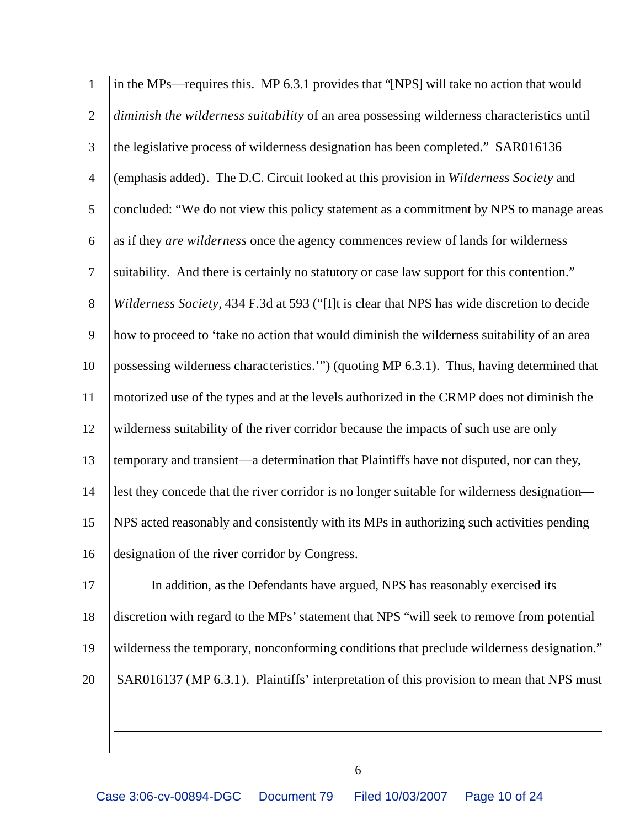| $\mathbf{1}$     | in the MPs—requires this. MP 6.3.1 provides that "[NPS] will take no action that would      |
|------------------|---------------------------------------------------------------------------------------------|
| $\overline{2}$   | diminish the wilderness suitability of an area possessing wilderness characteristics until  |
| 3                | the legislative process of wilderness designation has been completed." SAR016136            |
| $\overline{4}$   | (emphasis added). The D.C. Circuit looked at this provision in Wilderness Society and       |
| $\mathfrak{S}$   | concluded: "We do not view this policy statement as a commitment by NPS to manage areas     |
| $\boldsymbol{6}$ | as if they are wilderness once the agency commences review of lands for wilderness          |
| $\tau$           | suitability. And there is certainly no statutory or case law support for this contention."  |
| $8\,$            | Wilderness Society, 434 F.3d at 593 ("[I]t is clear that NPS has wide discretion to decide  |
| 9                | how to proceed to 'take no action that would diminish the wilderness suitability of an area |
| 10               | possessing wilderness characteristics."") (quoting MP 6.3.1). Thus, having determined that  |
| 11               | motorized use of the types and at the levels authorized in the CRMP does not diminish the   |
| 12               | wilderness suitability of the river corridor because the impacts of such use are only       |
| 13               | temporary and transient—a determination that Plaintiffs have not disputed, nor can they,    |
| 14               | lest they concede that the river corridor is no longer suitable for wilderness designation- |
| 15               | NPS acted reasonably and consistently with its MPs in authorizing such activities pending   |
| 16               | designation of the river corridor by Congress.                                              |
| 17               | In addition, as the Defendants have argued, NPS has reasonably exercised its                |
| 18               | discretion with regard to the MPs' statement that NPS "will seek to remove from potential   |
| 19               | wilderness the temporary, nonconforming conditions that preclude wilderness designation."   |
| 20               | SAR016137 (MP 6.3.1). Plaintiffs' interpretation of this provision to mean that NPS must    |
|                  |                                                                                             |

 $\overline{a}$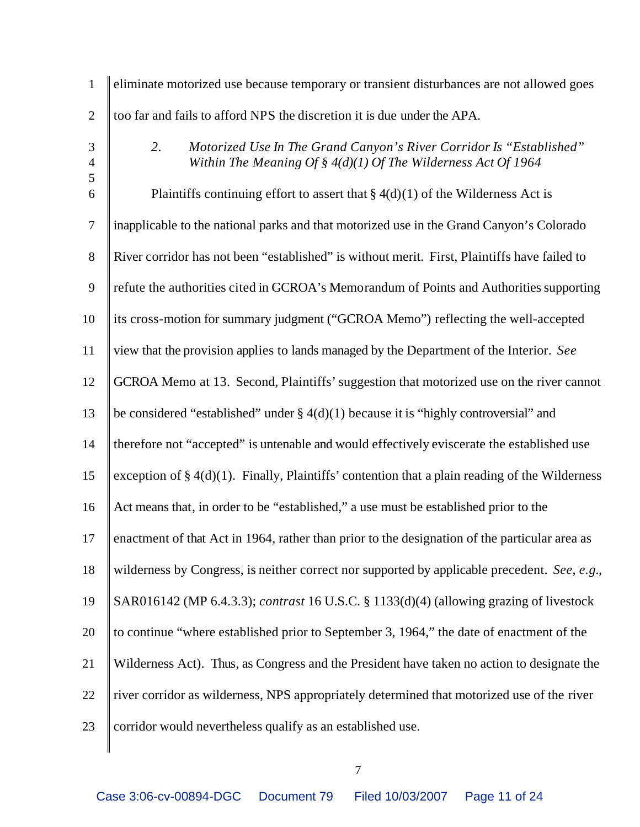| $\mathbf{1}$                     | eliminate motorized use because temporary or transient disturbances are not allowed goes                                                     |
|----------------------------------|----------------------------------------------------------------------------------------------------------------------------------------------|
| $\mathbf{2}$                     | too far and fails to afford NPS the discretion it is due under the APA.                                                                      |
| $\mathfrak{Z}$<br>$\overline{4}$ | 2.<br>Motorized Use In The Grand Canyon's River Corridor Is "Established"<br>Within The Meaning Of § $4(d)(1)$ Of The Wilderness Act Of 1964 |
| 5<br>6                           | Plaintiffs continuing effort to assert that $\S 4(d)(1)$ of the Wilderness Act is                                                            |
| $\tau$                           | inapplicable to the national parks and that motorized use in the Grand Canyon's Colorado                                                     |
| $8\,$                            | River corridor has not been "established" is without merit. First, Plaintiffs have failed to                                                 |
| 9                                | refute the authorities cited in GCROA's Memorandum of Points and Authorities supporting                                                      |
| 10                               | its cross-motion for summary judgment ("GCROA Memo") reflecting the well-accepted                                                            |
| 11                               | view that the provision applies to lands managed by the Department of the Interior. See                                                      |
| 12                               | GCROA Memo at 13. Second, Plaintiffs' suggestion that motorized use on the river cannot                                                      |
| 13                               | be considered "established" under $\S 4(d)(1)$ because it is "highly controversial" and                                                      |
| 14                               | therefore not "accepted" is untenable and would effectively eviscerate the established use                                                   |
| 15                               | exception of $\S 4(d)(1)$ . Finally, Plaintiffs' contention that a plain reading of the Wilderness                                           |
| 16                               | Act means that, in order to be "established," a use must be established prior to the                                                         |
| 17                               | enactment of that Act in 1964, rather than prior to the designation of the particular area as                                                |
| 18                               | wilderness by Congress, is neither correct nor supported by applicable precedent. See, e.g.,                                                 |
| 19                               | SAR016142 (MP 6.4.3.3); contrast 16 U.S.C. § 1133(d)(4) (allowing grazing of livestock                                                       |
| 20                               | to continue "where established prior to September 3, 1964," the date of enactment of the                                                     |
| 21                               | Wilderness Act). Thus, as Congress and the President have taken no action to designate the                                                   |
| 22                               | river corridor as wilderness, NPS appropriately determined that motorized use of the river                                                   |
| 23                               | corridor would nevertheless qualify as an established use.                                                                                   |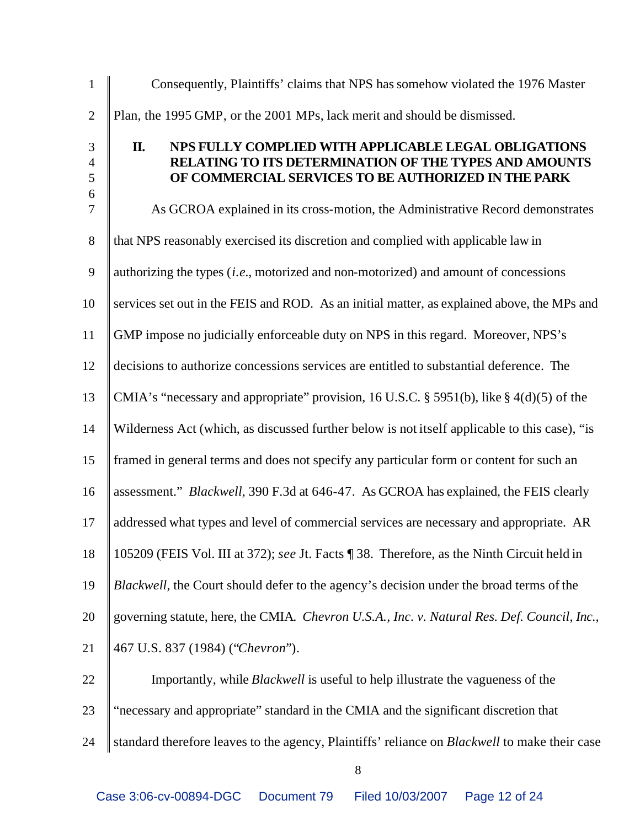| $\mathbf{1}$                                    | Consequently, Plaintiffs' claims that NPS has somehow violated the 1976 Master                                                                                               |
|-------------------------------------------------|------------------------------------------------------------------------------------------------------------------------------------------------------------------------------|
| $\mathbf{2}$                                    | Plan, the 1995 GMP, or the 2001 MPs, lack merit and should be dismissed.                                                                                                     |
| $\mathfrak{Z}$<br>$\overline{\mathcal{A}}$<br>5 | II.<br>NPS FULLY COMPLIED WITH APPLICABLE LEGAL OBLIGATIONS<br>RELATING TO ITS DETERMINATION OF THE TYPES AND AMOUNTS<br>OF COMMERCIAL SERVICES TO BE AUTHORIZED IN THE PARK |
| 6<br>$\overline{7}$                             | As GCROA explained in its cross-motion, the Administrative Record demonstrates                                                                                               |
| $8\,$                                           | that NPS reasonably exercised its discretion and complied with applicable law in                                                                                             |
| 9                                               | authorizing the types (i.e., motorized and non-motorized) and amount of concessions                                                                                          |
| 10                                              | services set out in the FEIS and ROD. As an initial matter, as explained above, the MPs and                                                                                  |
| 11                                              | GMP impose no judicially enforceable duty on NPS in this regard. Moreover, NPS's                                                                                             |
| 12                                              | decisions to authorize concessions services are entitled to substantial deference. The                                                                                       |
| 13                                              | CMIA's "necessary and appropriate" provision, 16 U.S.C. § 5951(b), like § 4(d)(5) of the                                                                                     |
| 14                                              | Wilderness Act (which, as discussed further below is not itself applicable to this case), "is                                                                                |
| 15                                              | framed in general terms and does not specify any particular form or content for such an                                                                                      |
| 16                                              | assessment." <i>Blackwell</i> , 390 F.3d at 646-47. As GCROA has explained, the FEIS clearly                                                                                 |
| 17                                              | addressed what types and level of commercial services are necessary and appropriate. AR                                                                                      |
| 18                                              | 105209 (FEIS Vol. III at 372); see Jt. Facts [38. Therefore, as the Ninth Circuit held in                                                                                    |
| 19                                              | Blackwell, the Court should defer to the agency's decision under the broad terms of the                                                                                      |
| 20                                              | governing statute, here, the CMIA. Chevron U.S.A., Inc. v. Natural Res. Def. Council, Inc.,                                                                                  |
| 21                                              | 467 U.S. 837 (1984) ("Chevron").                                                                                                                                             |
| 22                                              | Importantly, while <i>Blackwell</i> is useful to help illustrate the vagueness of the                                                                                        |
| 23                                              | "necessary and appropriate" standard in the CMIA and the significant discretion that                                                                                         |
| 24                                              | standard therefore leaves to the agency, Plaintiffs' reliance on <i>Blackwell</i> to make their case                                                                         |
|                                                 |                                                                                                                                                                              |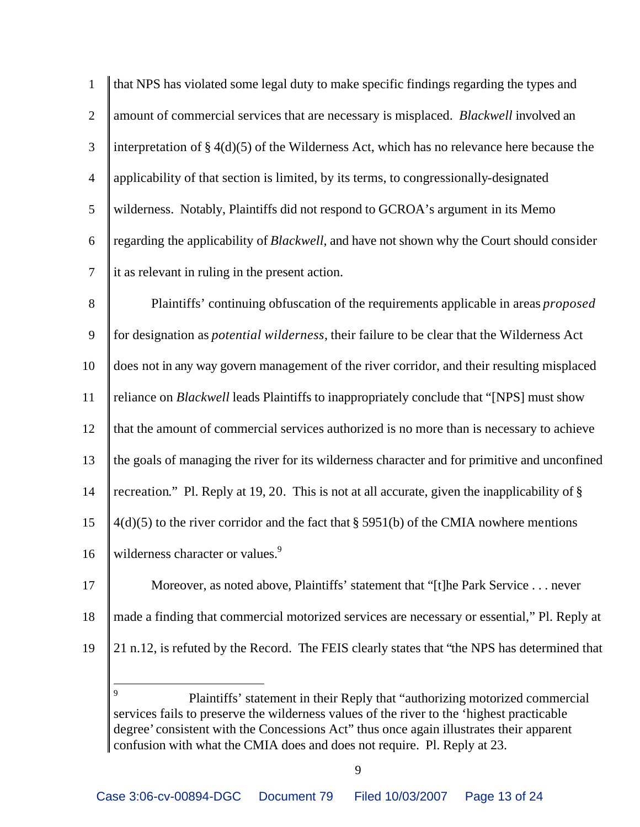1 that NPS has violated some legal duty to make specific findings regarding the types and 2 **amount of commercial services that are necessary is misplaced.** *Blackwell* involved an 3 interpretation of  $\S 4(d)(5)$  of the Wilderness Act, which has no relevance here because the 4 || applicability of that section is limited, by its terms, to congressionally-designated 5 wilderness. Notably, Plaintiffs did not respond to GCROA's argument in its Memo 6 regarding the applicability of *Blackwell*, and have not shown why the Court should consider  $7 \parallel$  it as relevant in ruling in the present action.

 Plaintiffs' continuing obfuscation of the requirements applicable in areas *proposed* for designation as *potential wilderness*, their failure to be clear that the Wilderness Act does not in any way govern management of the river corridor, and their resulting misplaced reliance on *Blackwell* leads Plaintiffs to inappropriately conclude that "[NPS] must show that the amount of commercial services authorized is no more than is necessary to achieve the goals of managing the river for its wilderness character and for primitive and unconfined recreation." Pl. Reply at 19, 20. This is not at all accurate, given the inapplicability of §  $\parallel$  4(d)(5) to the river corridor and the fact that § 5951(b) of the CMIA nowhere mentions 16 | wilderness character or values.<sup>9</sup>

- 17 | Moreover, as noted above, Plaintiffs' statement that "[t]he Park Service . . . never
- 18 made a finding that commercial motorized services are necessary or essential," Pl. Reply at
- 

 $\overline{a}$ 

19 21 n.12, is refuted by the Record. The FEIS clearly states that "the NPS has determined that

<sup>9</sup> Plaintiffs' statement in their Reply that "authorizing motorized commercial services fails to preserve the wilderness values of the river to the 'highest practicable degree' consistent with the Concessions Act" thus once again illustrates their apparent confusion with what the CMIA does and does not require. Pl. Reply at 23.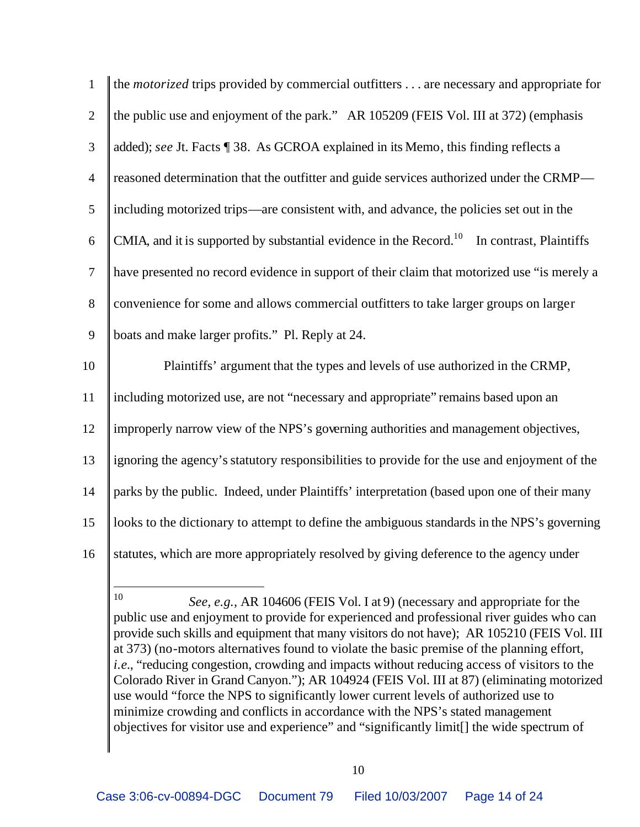| 1              | the <i>motorized</i> trips provided by commercial outfitters are necessary and appropriate for            |
|----------------|-----------------------------------------------------------------------------------------------------------|
| $\overline{2}$ | the public use and enjoyment of the park." AR 105209 (FEIS Vol. III at 372) (emphasis                     |
| $\mathfrak{Z}$ | added); see Jt. Facts ¶ 38. As GCROA explained in its Memo, this finding reflects a                       |
| $\overline{4}$ | reasoned determination that the outfitter and guide services authorized under the CRMP—                   |
| 5              | including motorized trips—are consistent with, and advance, the policies set out in the                   |
| 6              | CMIA, and it is supported by substantial evidence in the Record. <sup>10</sup><br>In contrast, Plaintiffs |
| $\tau$         | have presented no record evidence in support of their claim that motorized use "is merely a               |
| $8\,$          | convenience for some and allows commercial outfitters to take larger groups on larger                     |
| 9              | boats and make larger profits." Pl. Reply at 24.                                                          |
| 10             | Plaintiffs' argument that the types and levels of use authorized in the CRMP,                             |
| 11             | including motorized use, are not "necessary and appropriate" remains based upon an                        |
| 12             | improperly narrow view of the NPS's governing authorities and management objectives,                      |
| 13             | ignoring the agency's statutory responsibilities to provide for the use and enjoyment of the              |
| 14             | parks by the public. Indeed, under Plaintiffs' interpretation (based upon one of their many               |
| 15             | looks to the dictionary to attempt to define the ambiguous standards in the NPS's governing               |
| 16             | statutes, which are more appropriately resolved by giving deference to the agency under                   |
|                |                                                                                                           |

*See, e.g.,* AR 104606 (FEIS Vol. I at 9) (necessary and appropriate for the public use and enjoyment to provide for experienced and professional river guides who can provide such skills and equipment that many visitors do not have); AR 105210 (FEIS Vol. III at 373) (no-motors alternatives found to violate the basic premise of the planning effort, *i.e.*, "reducing congestion, crowding and impacts without reducing access of visitors to the Colorado River in Grand Canyon."); AR 104924 (FEIS Vol. III at 87) (eliminating motorized use would "force the NPS to significantly lower current levels of authorized use to minimize crowding and conflicts in accordance with the NPS's stated management objectives for visitor use and experience" and "significantly limit[] the wide spectrum of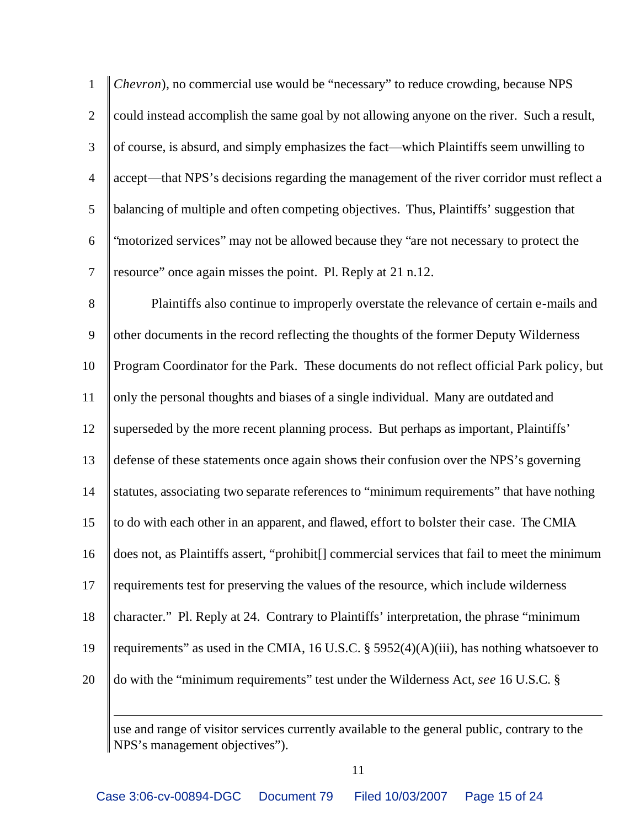| $\mathbf{1}$     | Chevron), no commercial use would be "necessary" to reduce crowding, because NPS              |
|------------------|-----------------------------------------------------------------------------------------------|
| $\mathbf{2}$     | could instead accomplish the same goal by not allowing anyone on the river. Such a result,    |
| 3                | of course, is absurd, and simply emphasizes the fact—which Plaintiffs seem unwilling to       |
| $\overline{4}$   | accept—that NPS's decisions regarding the management of the river corridor must reflect a     |
| 5                | balancing of multiple and often competing objectives. Thus, Plaintiffs' suggestion that       |
| $\boldsymbol{6}$ | "motorized services" may not be allowed because they "are not necessary to protect the        |
| $\overline{7}$   | resource" once again misses the point. Pl. Reply at 21 n.12.                                  |
| 8                | Plaintiffs also continue to improperly overstate the relevance of certain e-mails and         |
| 9                | other documents in the record reflecting the thoughts of the former Deputy Wilderness         |
| 10               | Program Coordinator for the Park. These documents do not reflect official Park policy, but    |
| 11               | only the personal thoughts and biases of a single individual. Many are outdated and           |
| 12               | superseded by the more recent planning process. But perhaps as important, Plaintiffs'         |
| 13               | defense of these statements once again shows their confusion over the NPS's governing         |
| 14               | statutes, associating two separate references to "minimum requirements" that have nothing     |
| 15               | to do with each other in an apparent, and flawed, effort to bolster their case. The CMIA      |
| 16               | does not, as Plaintiffs assert, "prohibit[] commercial services that fail to meet the minimum |

17 || requirements test for preserving the values of the resource, which include wilderness

18 character." Pl. Reply at 24. Contrary to Plaintiffs' interpretation, the phrase "minimum"

19 | requirements" as used in the CMIA, 16 U.S.C. § 5952(4)(A)(iii), has nothing whatsoever to

20 do with the "minimum requirements" test under the Wilderness Act, *see* 16 U.S.C. §

 $\overline{a}$ 

use and range of visitor services currently available to the general public, contrary to the NPS's management objectives").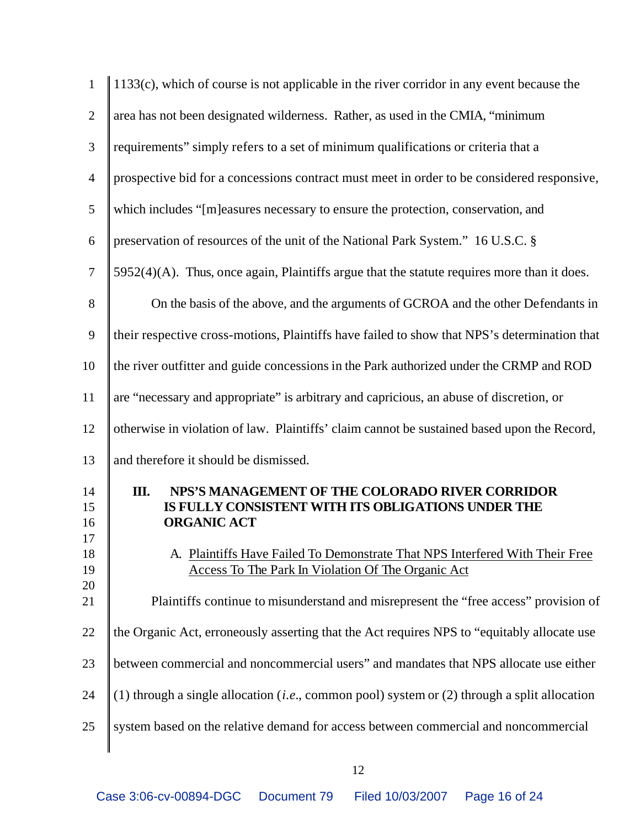| $\mathbf{1}$                                 | $1133(c)$ , which of course is not applicable in the river corridor in any event because the                                                                                                                                                                                                                                                                    |
|----------------------------------------------|-----------------------------------------------------------------------------------------------------------------------------------------------------------------------------------------------------------------------------------------------------------------------------------------------------------------------------------------------------------------|
| $\overline{2}$                               | area has not been designated wilderness. Rather, as used in the CMIA, "minimum                                                                                                                                                                                                                                                                                  |
| 3                                            | requirements" simply refers to a set of minimum qualifications or criteria that a                                                                                                                                                                                                                                                                               |
| $\overline{4}$                               | prospective bid for a concessions contract must meet in order to be considered responsive,                                                                                                                                                                                                                                                                      |
| 5                                            | which includes "[m]easures necessary to ensure the protection, conservation, and                                                                                                                                                                                                                                                                                |
| 6                                            | preservation of resources of the unit of the National Park System." 16 U.S.C. §                                                                                                                                                                                                                                                                                 |
| $\overline{7}$                               | 5952(4)(A). Thus, once again, Plaintiffs argue that the statute requires more than it does.                                                                                                                                                                                                                                                                     |
| $8\,$                                        | On the basis of the above, and the arguments of GCROA and the other Defendants in                                                                                                                                                                                                                                                                               |
| 9                                            | their respective cross-motions, Plaintiffs have failed to show that NPS's determination that                                                                                                                                                                                                                                                                    |
| 10                                           | the river outfitter and guide concessions in the Park authorized under the CRMP and ROD                                                                                                                                                                                                                                                                         |
| 11                                           | are "necessary and appropriate" is arbitrary and capricious, an abuse of discretion, or                                                                                                                                                                                                                                                                         |
| 12                                           | otherwise in violation of law. Plaintiffs' claim cannot be sustained based upon the Record,                                                                                                                                                                                                                                                                     |
| 13                                           | and therefore it should be dismissed.                                                                                                                                                                                                                                                                                                                           |
| 14<br>15<br>16<br>17<br>18<br>19<br>20<br>21 | Ш.<br>NPS'S MANAGEMENT OF THE COLORADO RIVER CORRIDOR<br>IS FULLY CONSISTENT WITH ITS OBLIGATIONS UNDER THE<br><b>ORGANIC ACT</b><br>A. Plaintiffs Have Failed To Demonstrate That NPS Interfered With Their Free<br>Access To The Park In Violation Of The Organic Act<br>Plaintiffs continue to misunderstand and misrepresent the "free access" provision of |
| 22                                           | the Organic Act, erroneously asserting that the Act requires NPS to "equitably allocate use                                                                                                                                                                                                                                                                     |
| 23                                           | between commercial and noncommercial users" and mandates that NPS allocate use either                                                                                                                                                                                                                                                                           |
| 24                                           | (1) through a single allocation ( <i>i.e.</i> , common pool) system or (2) through a split allocation                                                                                                                                                                                                                                                           |
| 25                                           | system based on the relative demand for access between commercial and noncommercial                                                                                                                                                                                                                                                                             |
|                                              |                                                                                                                                                                                                                                                                                                                                                                 |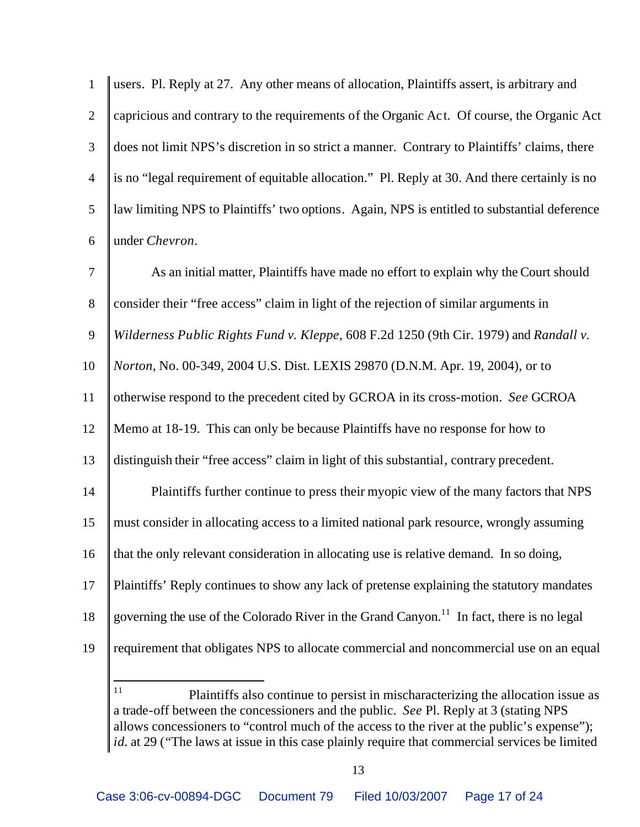| 1              | users. Pl. Reply at 27. Any other means of allocation, Plaintiffs assert, is arbitrary and            |
|----------------|-------------------------------------------------------------------------------------------------------|
| $\overline{2}$ | capricious and contrary to the requirements of the Organic Act. Of course, the Organic Act            |
| 3              | does not limit NPS's discretion in so strict a manner. Contrary to Plaintiffs' claims, there          |
| $\overline{4}$ | is no "legal requirement of equitable allocation." Pl. Reply at 30. And there certainly is no         |
| 5              | law limiting NPS to Plaintiffs' two options. Again, NPS is entitled to substantial deference          |
| 6              | under Chevron.                                                                                        |
| $\tau$         | As an initial matter, Plaintiffs have made no effort to explain why the Court should                  |
| $8\,$          | consider their "free access" claim in light of the rejection of similar arguments in                  |
| 9              | Wilderness Public Rights Fund v. Kleppe, 608 F.2d 1250 (9th Cir. 1979) and Randall v.                 |
| 10             | Norton, No. 00-349, 2004 U.S. Dist. LEXIS 29870 (D.N.M. Apr. 19, 2004), or to                         |
| 11             | otherwise respond to the precedent cited by GCROA in its cross-motion. See GCROA                      |
| 12             | Memo at 18-19. This can only be because Plaintiffs have no response for how to                        |
| 13             | distinguish their "free access" claim in light of this substantial, contrary precedent.               |
| 14             | Plaintiffs further continue to press their myopic view of the many factors that NPS                   |
| 15             | must consider in allocating access to a limited national park resource, wrongly assuming              |
| 16             | that the only relevant consideration in allocating use is relative demand. In so doing,               |
| 17             | Plaintiffs' Reply continues to show any lack of pretense explaining the statutory mandates            |
| 18             | governing the use of the Colorado River in the Grand Canyon. <sup>11</sup> In fact, there is no legal |
| 19             | requirement that obligates NPS to allocate commercial and noncommercial use on an equal               |
|                | 11<br>Plaintiffs also continue to persist in mischaracterizing the allocation issue as                |

a trade-off between the concessioners and the public. *See* Pl. Reply at 3 (stating NPS allows concessioners to "control much of the access to the river at the public's expense"); *id.* at 29 ("The laws at issue in this case plainly require that commercial services be limited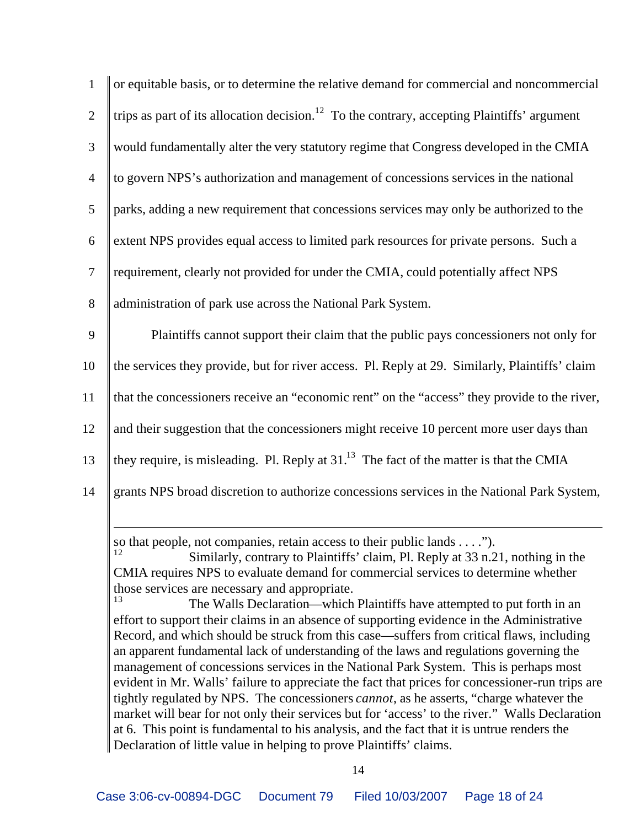| $\mathbf{1}$   | or equitable basis, or to determine the relative demand for commercial and noncommercial                |
|----------------|---------------------------------------------------------------------------------------------------------|
| $\overline{2}$ | trips as part of its allocation decision. <sup>12</sup> To the contrary, accepting Plaintiffs' argument |
| 3              | would fundamentally alter the very statutory regime that Congress developed in the CMIA                 |
| $\overline{4}$ | to govern NPS's authorization and management of concessions services in the national                    |
| 5              | parks, adding a new requirement that concessions services may only be authorized to the                 |
| 6              | extent NPS provides equal access to limited park resources for private persons. Such a                  |
| $\overline{7}$ | requirement, clearly not provided for under the CMIA, could potentially affect NPS                      |
| 8              | administration of park use across the National Park System.                                             |
| 9              | Plaintiffs cannot support their claim that the public pays concessioners not only for                   |
| 10             | the services they provide, but for river access. Pl. Reply at 29. Similarly, Plaintiffs' claim          |
| 11             | that the concessioners receive an "economic rent" on the "access" they provide to the river,            |
| 12             | and their suggestion that the concessioners might receive 10 percent more user days than                |
| 13             | they require, is misleading. Pl. Reply at $3113$ The fact of the matter is that the CMIA                |
| 14             | grants NPS broad discretion to authorize concessions services in the National Park System,              |
|                |                                                                                                         |

so that people, not companies, retain access to their public lands  $\dots$ ").

Similarly, contrary to Plaintiffs' claim, Pl. Reply at 33 n.21, nothing in the CMIA requires NPS to evaluate demand for commercial services to determine whether those services are necessary and appropriate.

The Walls Declaration—which Plaintiffs have attempted to put forth in an effort to support their claims in an absence of supporting evidence in the Administrative Record, and which should be struck from this case—suffers from critical flaws, including an apparent fundamental lack of understanding of the laws and regulations governing the management of concessions services in the National Park System. This is perhaps most evident in Mr. Walls' failure to appreciate the fact that prices for concessioner-run trips are tightly regulated by NPS. The concessioners *cannot*, as he asserts, "charge whatever the market will bear for not only their services but for 'access' to the river." Walls Declaration at 6. This point is fundamental to his analysis, and the fact that it is untrue renders the Declaration of little value in helping to prove Plaintiffs' claims.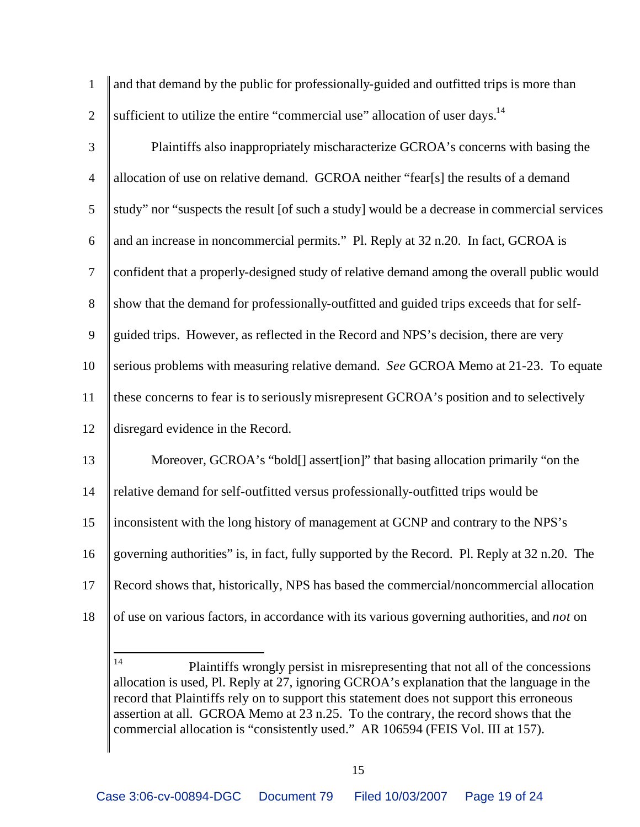| $\mathbf{1}$   | and that demand by the public for professionally-guided and outfitted trips is more than     |
|----------------|----------------------------------------------------------------------------------------------|
| $\overline{2}$ | sufficient to utilize the entire "commercial use" allocation of user days. <sup>14</sup>     |
| 3              | Plaintiffs also inappropriately mischaracterize GCROA's concerns with basing the             |
| $\overline{4}$ | allocation of use on relative demand. GCROA neither "fear[s] the results of a demand         |
| 5              | study" nor "suspects the result [of such a study] would be a decrease in commercial services |
| 6              | and an increase in noncommercial permits." Pl. Reply at 32 n.20. In fact, GCROA is           |
| $\tau$         | confident that a properly-designed study of relative demand among the overall public would   |
| 8              | show that the demand for professionally-outfitted and guided trips exceeds that for self-    |
| 9              | guided trips. However, as reflected in the Record and NPS's decision, there are very         |
| 10             | serious problems with measuring relative demand. See GCROA Memo at 21-23. To equate          |
| 11             | these concerns to fear is to seriously misrepresent GCROA's position and to selectively      |
| 12             | disregard evidence in the Record.                                                            |
| 13             | Moreover, GCROA's "bold[] assert[ion]" that basing allocation primarily "on the              |
| 14             | relative demand for self-outfitted versus professionally-outfitted trips would be            |
| 15             | inconsistent with the long history of management at GCNP and contrary to the NPS's           |
| 16             | governing authorities" is, in fact, fully supported by the Record. Pl. Reply at 32 n.20. The |
| 17             | Record shows that, historically, NPS has based the commercial/noncommercial allocation       |
| 18             | of use on various factors, in accordance with its various governing authorities, and not on  |

Plaintiffs wrongly persist in misrepresenting that not all of the concessions allocation is used, Pl. Reply at 27, ignoring GCROA's explanation that the language in the record that Plaintiffs rely on to support this statement does not support this erroneous assertion at all. GCROA Memo at 23 n.25. To the contrary, the record shows that the commercial allocation is "consistently used." AR 106594 (FEIS Vol. III at 157).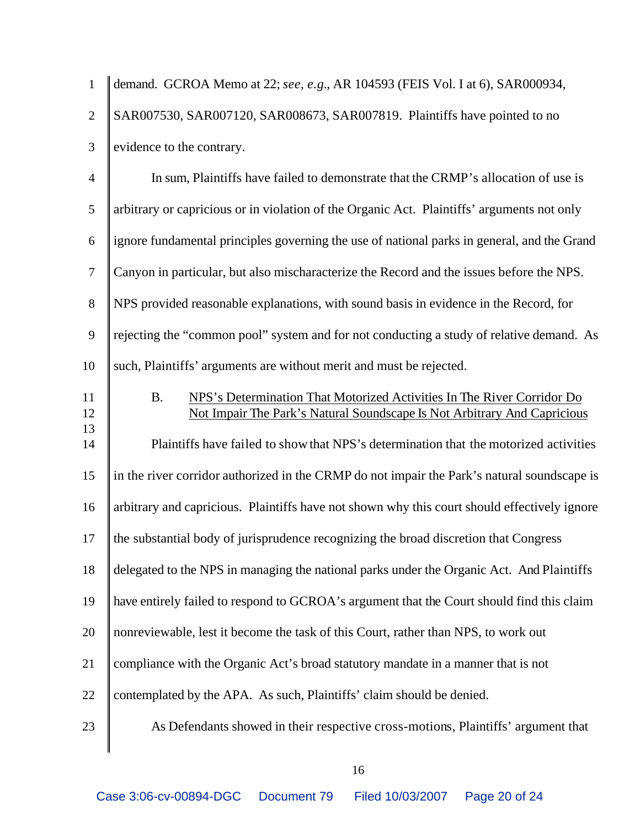| $\mathbf{1}$     | demand. GCROA Memo at 22; see, e.g., AR 104593 (FEIS Vol. I at 6), SAR000934,                                                                                   |
|------------------|-----------------------------------------------------------------------------------------------------------------------------------------------------------------|
| $\overline{2}$   | SAR007530, SAR007120, SAR008673, SAR007819. Plaintiffs have pointed to no                                                                                       |
| $\mathfrak{Z}$   | evidence to the contrary.                                                                                                                                       |
| $\overline{4}$   | In sum, Plaintiffs have failed to demonstrate that the CRMP's allocation of use is                                                                              |
| 5                | arbitrary or capricious or in violation of the Organic Act. Plaintiffs' arguments not only                                                                      |
| 6                | ignore fundamental principles governing the use of national parks in general, and the Grand                                                                     |
| $\tau$           | Canyon in particular, but also mischaracterize the Record and the issues before the NPS.                                                                        |
| 8                | NPS provided reasonable explanations, with sound basis in evidence in the Record, for                                                                           |
| $\boldsymbol{9}$ | rejecting the "common pool" system and for not conducting a study of relative demand. As                                                                        |
| 10               | such, Plaintiffs' arguments are without merit and must be rejected.                                                                                             |
| 11<br>12         | NPS's Determination That Motorized Activities In The River Corridor Do<br><b>B.</b><br>Not Impair The Park's Natural Soundscape Is Not Arbitrary And Capricious |
| 13<br>14         | Plaintiffs have failed to show that NPS's determination that the motorized activities                                                                           |
| 15               | in the river corridor authorized in the CRMP do not impair the Park's natural soundscape is                                                                     |
| 16               | arbitrary and capricious. Plaintiffs have not shown why this court should effectively ignore                                                                    |
| 17               | the substantial body of jurisprudence recognizing the broad discretion that Congress                                                                            |
| 18               | delegated to the NPS in managing the national parks under the Organic Act. And Plaintiffs                                                                       |
| 19               | have entirely failed to respond to GCROA's argument that the Court should find this claim                                                                       |
| 20               | nonreviewable, lest it become the task of this Court, rather than NPS, to work out                                                                              |
| 21               | compliance with the Organic Act's broad statutory mandate in a manner that is not                                                                               |
| 22               | contemplated by the APA. As such, Plaintiffs' claim should be denied.                                                                                           |
| 23               | As Defendants showed in their respective cross-motions, Plaintiffs' argument that                                                                               |
|                  |                                                                                                                                                                 |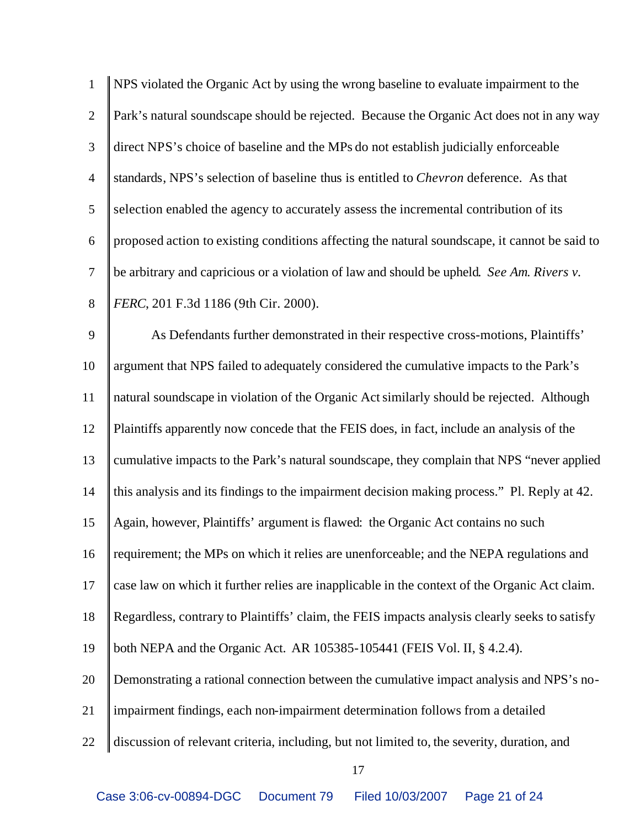| $\mathbf{1}$   | NPS violated the Organic Act by using the wrong baseline to evaluate impairment to the        |
|----------------|-----------------------------------------------------------------------------------------------|
| $\overline{2}$ | Park's natural soundscape should be rejected. Because the Organic Act does not in any way     |
| 3              | direct NPS's choice of baseline and the MPs do not establish judicially enforceable           |
| $\overline{4}$ | standards, NPS's selection of baseline thus is entitled to <i>Chevron</i> deference. As that  |
| 5              | selection enabled the agency to accurately assess the incremental contribution of its         |
| 6              | proposed action to existing conditions affecting the natural soundscape, it cannot be said to |
| $\tau$         | be arbitrary and capricious or a violation of law and should be upheld. See Am. Rivers v.     |
| $8\,$          | FERC, 201 F.3d 1186 (9th Cir. 2000).                                                          |
| $\mathbf{9}$   | As Defendants further demonstrated in their respective cross-motions, Plaintiffs'             |
| 10             | argument that NPS failed to adequately considered the cumulative impacts to the Park's        |
| 11             | natural soundscape in violation of the Organic Act similarly should be rejected. Although     |
| 12             | Plaintiffs apparently now concede that the FEIS does, in fact, include an analysis of the     |
| 13             | cumulative impacts to the Park's natural soundscape, they complain that NPS "never applied    |
| 14             | this analysis and its findings to the impairment decision making process." Pl. Reply at 42.   |
| 15             | Again, however, Plaintiffs' argument is flawed: the Organic Act contains no such              |
| 16             | requirement; the MPs on which it relies are unenforceable; and the NEPA regulations and       |
| 17             | case law on which it further relies are inapplicable in the context of the Organic Act claim. |
| 18             | Regardless, contrary to Plaintiffs' claim, the FEIS impacts analysis clearly seeks to satisfy |
| 19             | both NEPA and the Organic Act. AR 105385-105441 (FEIS Vol. II, § 4.2.4).                      |
| 20             | Demonstrating a rational connection between the cumulative impact analysis and NPS's no-      |
| 21             | impairment findings, each non-impairment determination follows from a detailed                |
| 22             | discussion of relevant criteria, including, but not limited to, the severity, duration, and   |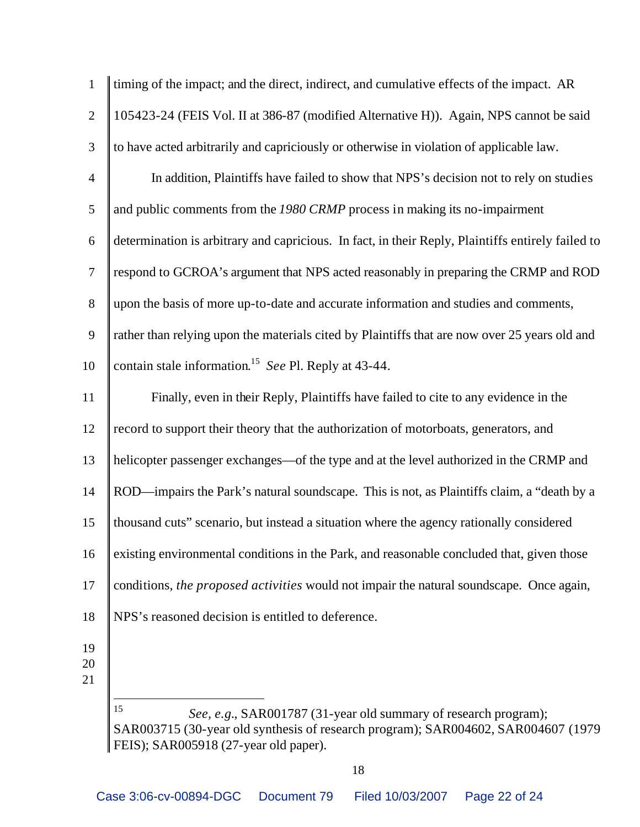| $\mathbf{1}$   | timing of the impact; and the direct, indirect, and cumulative effects of the impact. AR                                                                                                            |
|----------------|-----------------------------------------------------------------------------------------------------------------------------------------------------------------------------------------------------|
| $\mathfrak{2}$ | 105423-24 (FEIS Vol. II at 386-87 (modified Alternative H)). Again, NPS cannot be said                                                                                                              |
| 3              | to have acted arbitrarily and capriciously or otherwise in violation of applicable law.                                                                                                             |
| $\overline{4}$ | In addition, Plaintiffs have failed to show that NPS's decision not to rely on studies                                                                                                              |
| 5              | and public comments from the 1980 CRMP process in making its no-impairment                                                                                                                          |
| 6              | determination is arbitrary and capricious. In fact, in their Reply, Plaintiffs entirely failed to                                                                                                   |
| $\tau$         | respond to GCROA's argument that NPS acted reasonably in preparing the CRMP and ROD                                                                                                                 |
| $8\,$          | upon the basis of more up-to-date and accurate information and studies and comments,                                                                                                                |
| 9              | rather than relying upon the materials cited by Plaintiffs that are now over 25 years old and                                                                                                       |
| 10             | contain stale information. <sup>15</sup> See Pl. Reply at 43-44.                                                                                                                                    |
| 11             | Finally, even in their Reply, Plaintiffs have failed to cite to any evidence in the                                                                                                                 |
| 12             | record to support their theory that the authorization of motorboats, generators, and                                                                                                                |
| 13             | helicopter passenger exchanges—of the type and at the level authorized in the CRMP and                                                                                                              |
| 14             | ROD—impairs the Park's natural soundscape. This is not, as Plaintiffs claim, a "death by a                                                                                                          |
| 15             | thousand cuts" scenario, but instead a situation where the agency rationally considered                                                                                                             |
| 16             | existing environmental conditions in the Park, and reasonable concluded that, given those                                                                                                           |
| 17             | conditions, the proposed activities would not impair the natural soundscape. Once again,                                                                                                            |
| 18             | NPS's reasoned decision is entitled to deference.                                                                                                                                                   |
| 19<br>20<br>21 |                                                                                                                                                                                                     |
|                | 15<br>See, e.g., SAR001787 (31-year old summary of research program);<br>SAR003715 (30-year old synthesis of research program); SAR004602, SAR004607 (1979<br>FEIS); SAR005918 (27-year old paper). |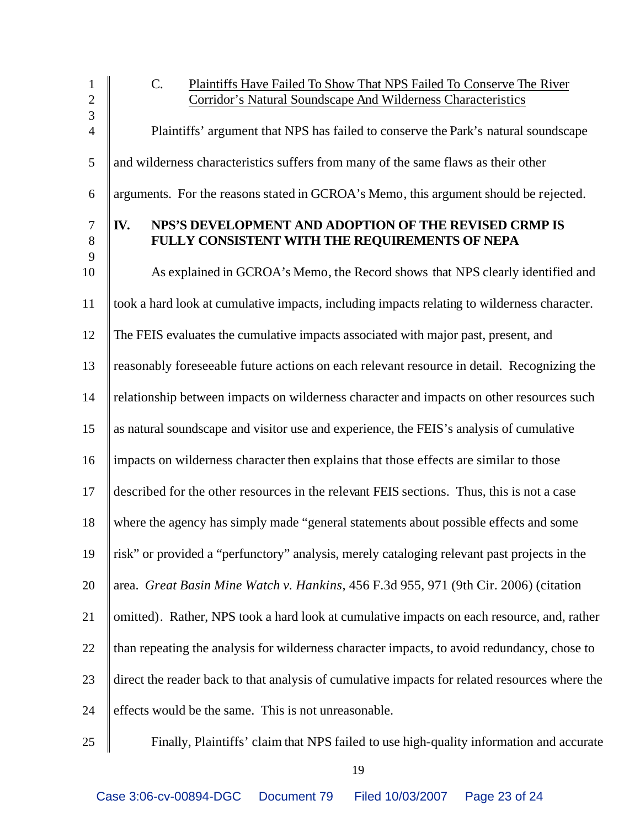| 1              | $\mathcal{C}$ .<br>Plaintiffs Have Failed To Show That NPS Failed To Conserve The River       |
|----------------|-----------------------------------------------------------------------------------------------|
| $\overline{2}$ | Corridor's Natural Soundscape And Wilderness Characteristics                                  |
| $\overline{3}$ |                                                                                               |
| $\overline{4}$ | Plaintiffs' argument that NPS has failed to conserve the Park's natural soundscape            |
| 5              | and wilderness characteristics suffers from many of the same flaws as their other             |
| 6              | arguments. For the reasons stated in GCROA's Memo, this argument should be rejected.          |
| $\tau$         | NPS'S DEVELOPMENT AND ADOPTION OF THE REVISED CRMP IS<br>IV.                                  |
| $8\phantom{.}$ | FULLY CONSISTENT WITH THE REQUIREMENTS OF NEPA                                                |
| 9              |                                                                                               |
| 10             | As explained in GCROA's Memo, the Record shows that NPS clearly identified and                |
| 11             | took a hard look at cumulative impacts, including impacts relating to wilderness character.   |
| 12             | The FEIS evaluates the cumulative impacts associated with major past, present, and            |
| 13             | reasonably foreseeable future actions on each relevant resource in detail. Recognizing the    |
| 14             | relationship between impacts on wilderness character and impacts on other resources such      |
| 15             | as natural soundscape and visitor use and experience, the FEIS's analysis of cumulative       |
| 16             | impacts on wilderness character then explains that those effects are similar to those         |
| 17             | described for the other resources in the relevant FEIS sections. Thus, this is not a case     |
| 18             | where the agency has simply made "general statements about possible effects and some          |
| 19             | risk" or provided a "perfunctory" analysis, merely cataloging relevant past projects in the   |
| 20             | area. Great Basin Mine Watch v. Hankins, 456 F.3d 955, 971 (9th Cir. 2006) (citation          |
| 21             | omitted). Rather, NPS took a hard look at cumulative impacts on each resource, and, rather    |
| 22             | than repeating the analysis for wilderness character impacts, to avoid redundancy, chose to   |
| 23             | direct the reader back to that analysis of cumulative impacts for related resources where the |
| 24             | effects would be the same. This is not unreasonable.                                          |
|                |                                                                                               |

25 Finally, Plaintiffs' claim that NPS failed to use high-quality information and accurate